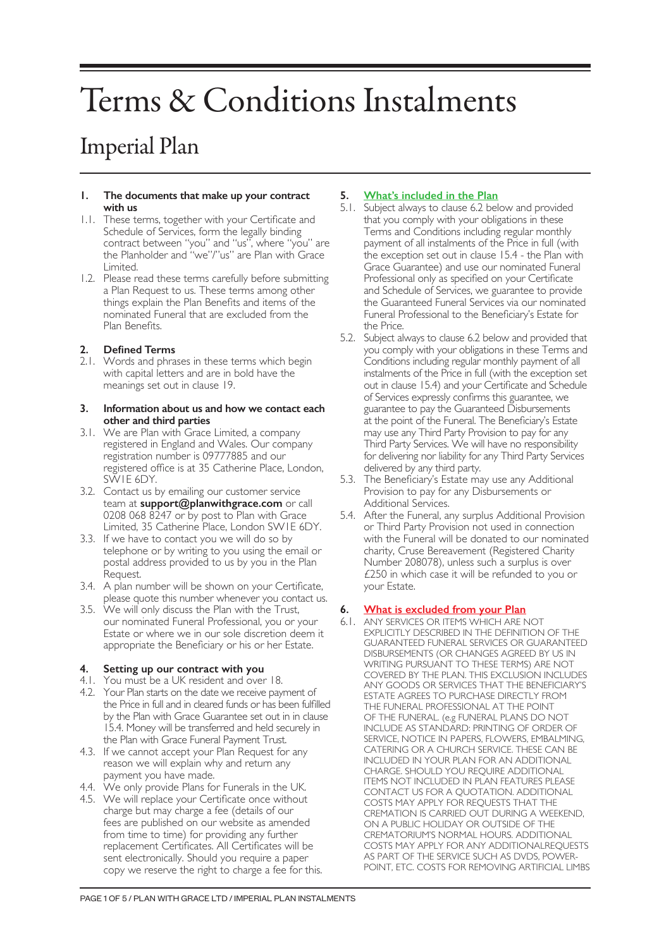# Terms & Conditions Instalments

# Imperial Plan

#### **1. The documents that make up your contract with us**

- 1.1. These terms, together with your Certificate and Schedule of Services, form the legally binding contract between "you" and "us", where "you" are the Planholder and "we"/"us" are Plan with Grace Limited.
- 1.2. Please read these terms carefully before submitting a Plan Request to us. These terms among other things explain the Plan Benefits and items of the nominated Funeral that are excluded from the Plan Benefits.

# **2. Defined Terms**

2.1. Words and phrases in these terms which begin with capital letters and are in bold have the meanings set out in clause 19.

#### **3. Information about us and how we contact each other and third parties**

- 3.1. We are Plan with Grace Limited, a company registered in England and Wales. Our company registration number is 09777885 and our registered office is at 35 Catherine Place, London, SW1E 6DY.
- 3.2. Contact us by emailing our customer service team at **support@planwithgrace.com** or call 0208 068 8247 or by post to Plan with Grace Limited, 35 Catherine Place, London SW1E 6DY.
- 3.3. If we have to contact you we will do so by telephone or by writing to you using the email or postal address provided to us by you in the Plan Request.
- 3.4. A plan number will be shown on your Certificate, please quote this number whenever you contact us.
- 3.5. We will only discuss the Plan with the Trust, our nominated Funeral Professional, you or your Estate or where we in our sole discretion deem it appropriate the Beneficiary or his or her Estate.

# **4. Setting up our contract with you**

- 4.1. You must be a UK resident and over 18.
- 4.2. Your Plan starts on the date we receive payment of the Price in full and in cleared funds or has been fulfilled by the Plan with Grace Guarantee set out in in clause 15.4. Money will be transferred and held securely in the Plan with Grace Funeral Payment Trust.
- 4.3. If we cannot accept your Plan Request for any reason we will explain why and return any payment you have made.
- 4.4. We only provide Plans for Funerals in the UK.
- 4.5. We will replace your Certificate once without charge but may charge a fee (details of our fees are published on our website as amended from time to time) for providing any further replacement Certificates. All Certificates will be sent electronically. Should you require a paper copy we reserve the right to charge a fee for this.

# **5. What's included in the Plan**

- 5.1. Subject always to clause 6.2 below and provided that you comply with your obligations in these Terms and Conditions including regular monthly payment of all instalments of the Price in full (with the exception set out in clause 15.4 - the Plan with Grace Guarantee) and use our nominated Funeral Professional only as specified on your Certificate and Schedule of Services, we guarantee to provide the Guaranteed Funeral Services via our nominated Funeral Professional to the Beneficiary's Estate for the Price.
- 5.2. Subject always to clause 6.2 below and provided that you comply with your obligations in these Terms and Conditions including regular monthly payment of all instalments of the Price in full (with the exception set out in clause 15.4) and your Certificate and Schedule of Services expressly confirms this guarantee, we guarantee to pay the Guaranteed Disbursements at the point of the Funeral. The Beneficiary's Estate may use any Third Party Provision to pay for any Third Party Services. We will have no responsibility for delivering nor liability for any Third Party Services delivered by any third party.
- 5.3. The Beneficiary's Estate may use any Additional Provision to pay for any Disbursements or Additional Services.
- 5.4. After the Funeral, any surplus Additional Provision or Third Party Provision not used in connection with the Funeral will be donated to our nominated charity, Cruse Bereavement (Registered Charity Number 208078), unless such a surplus is over £250 in which case it will be refunded to you or your Estate.

# **6. What is excluded from your Plan**

6.1. ANY SERVICES OR ITEMS WHICH ARE NOT EXPLICITLY DESCRIBED IN THE DEFINITION OF THE GUARANTEED FUNERAL SERVICES OR GUARANTEED DISBURSEMENTS (OR CHANGES AGREED BY US IN WRITING PURSUANT TO THESE TERMS) ARE NOT COVERED BY THE PLAN. THIS EXCLUSION INCLUDES ANY GOODS OR SERVICES THAT THE BENEFICIARY'S ESTATE AGREES TO PURCHASE DIRECTLY FROM THE FUNERAL PROFESSIONAL AT THE POINT OF THE FUNERAL. (e.g FUNERAL PLANS DO NOT INCLUDE AS STANDARD: PRINTING OF ORDER OF SERVICE, NOTICE IN PAPERS, FLOWERS, EMBALMING, CATERING OR A CHURCH SERVICE. THESE CAN BE INCLUDED IN YOUR PLAN FOR AN ADDITIONAL CHARGE. SHOULD YOU REQUIRE ADDITIONAL ITEMS NOT INCLUDED IN PLAN FEATURES PLEASE CONTACT US FOR A QUOTATION. ADDITIONAL COSTS MAY APPLY FOR REQUESTS THAT THE CREMATION IS CARRIED OUT DURING A WEEKEND, ON A PUBLIC HOLIDAY OR OUTSIDE OF THE CREMATORIUM'S NORMAL HOURS. ADDITIONAL COSTS MAY APPLY FOR ANY ADDITIONALREQUESTS AS PART OF THE SERVICE SUCH AS DVDS, POWER-POINT, ETC. COSTS FOR REMOVING ARTIFICIAL LIMBS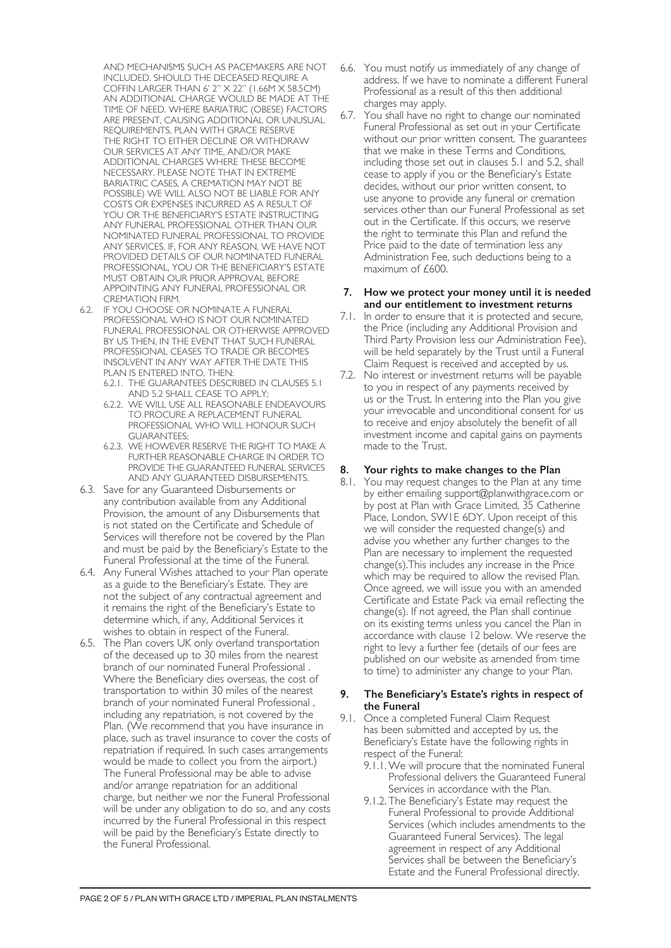AND MECHANISMS SUCH AS PACEMAKERS ARE NOT INCLUDED. SHOULD THE DECEASED REQUIRE A COFFIN LARGER THAN 6' 2" X 22" (1.66M X 58.5CM) AN ADDITIONAL CHARGE WOULD BE MADE AT THE TIME OF NEED. WHERE BARIATRIC (OBESE) FACTORS ARE PRESENT, CAUSING ADDITIONAL OR UNUSUAL REQUIREMENTS, PLAN WITH GRACE RESERVE THE RIGHT TO EITHER DECLINE OR WITHDRAW OUR SERVICES AT ANY TIME, AND/OR MAKE ADDITIONAL CHARGES WHERE THESE BECOME NECESSARY. PLEASE NOTE THAT IN EXTREME BARIATRIC CASES, A CREMATION MAY NOT BE POSSIBLE) WE WILL ALSO NOT BE LIABLE FOR ANY COSTS OR EXPENSES INCURRED AS A RESULT OF YOU OR THE BENEFICIARY'S ESTATE INSTRUCTING ANY FUNERAL PROFESSIONAL OTHER THAN OUR NOMINATED FUNERAL PROFESSIONAL TO PROVIDE ANY SERVICES. IF, FOR ANY REASON, WE HAVE NOT PROVIDED DETAILS OF OUR NOMINATED FUNERAL PROFESSIONAL, YOU OR THE BENEFICIARY'S ESTATE MUST OBTAIN OUR PRIOR APPROVAL BEFORE APPOINTING ANY FUNERAL PROFESSIONAL OR CREMATION FIRM.

- 6.2. IF YOU CHOOSE OR NOMINATE A FUNERAL PROFESSIONAL WHO IS NOT OUR NOMINATED FUNERAL PROFESSIONAL OR OTHERWISE APPROVED BY US THEN, IN THE EVENT THAT SUCH FUNERAL PROFESSIONAL CEASES TO TRADE OR BECOMES INSOLVENT IN ANY WAY AFTER THE DATE THIS PLAN IS ENTERED INTO, THEN:
	- 6.2.1. THE GUARANTEES DESCRIBED IN CLAUSES 5.1 AND 5.2 SHALL CEASE TO APPLY;
	- 6.2.2. WE WILL USE ALL REASONABLE ENDEAVOURS TO PROCURE A REPLACEMENT FUNERAL PROFESSIONAL WHO WILL HONOUR SUCH GUARANTEES;
	- 6.2.3. WE HOWEVER RESERVE THE RIGHT TO MAKE A FURTHER REASONABLE CHARGE IN ORDER TO PROVIDE THE GUARANTEED FUNERAL SERVICES AND ANY GUARANTEED DISBURSEMENTS.
- 6.3. Save for any Guaranteed Disbursements or any contribution available from any Additional Provision, the amount of any Disbursements that is not stated on the Certificate and Schedule of Services will therefore not be covered by the Plan and must be paid by the Beneficiary's Estate to the Funeral Professional at the time of the Funeral.
- 6.4. Any Funeral Wishes attached to your Plan operate as a guide to the Beneficiary's Estate. They are not the subject of any contractual agreement and it remains the right of the Beneficiary's Estate to determine which, if any, Additional Services it wishes to obtain in respect of the Funeral.
- 6.5. The Plan covers UK only overland transportation of the deceased up to 30 miles from the nearest branch of our nominated Funeral Professional . Where the Beneficiary dies overseas, the cost of transportation to within 30 miles of the nearest branch of your nominated Funeral Professional , including any repatriation, is not covered by the Plan. (We recommend that you have insurance in place, such as travel insurance to cover the costs of repatriation if required. In such cases arrangements would be made to collect you from the airport.) The Funeral Professional may be able to advise and/or arrange repatriation for an additional charge, but neither we nor the Funeral Professional will be under any obligation to do so, and any costs incurred by the Funeral Professional in this respect will be paid by the Beneficiary's Estate directly to the Funeral Professional.
- 6.6. You must notify us immediately of any change of address. If we have to nominate a different Funeral Professional as a result of this then additional charges may apply.
- 6.7. You shall have no right to change our nominated Funeral Professional as set out in your Certificate without our prior written consent. The guarantees that we make in these Terms and Conditions, including those set out in clauses 5.1 and 5.2, shall cease to apply if you or the Beneficiary's Estate decides, without our prior written consent, to use anyone to provide any funeral or cremation services other than our Funeral Professional as set out in the Certificate. If this occurs, we reserve the right to terminate this Plan and refund the Price paid to the date of termination less any Administration Fee, such deductions being to a maximum of £600.

#### **7. How we protect your money until it is needed and our entitlement to investment returns**

- 7.1. In order to ensure that it is protected and secure, the Price (including any Additional Provision and Third Party Provision less our Administration Fee), will be held separately by the Trust until a Funeral Claim Request is received and accepted by us.
- 7.2. No interest or investment returns will be payable to you in respect of any payments received by us or the Trust. In entering into the Plan you give your irrevocable and unconditional consent for us to receive and enjoy absolutely the benefit of all investment income and capital gains on payments made to the Trust.

# **8. Your rights to make changes to the Plan**

8.1. You may request changes to the Plan at any time by either emailing support@planwithgrace.com or by post at Plan with Grace Limited, 35 Catherine Place, London, SW1E 6DY. Upon receipt of this we will consider the requested change(s) and advise you whether any further changes to the Plan are necessary to implement the requested change(s).This includes any increase in the Price which may be required to allow the revised Plan. Once agreed, we will issue you with an amended Certificate and Estate Pack via email reflecting the change(s). If not agreed, the Plan shall continue on its existing terms unless you cancel the Plan in accordance with clause 12 below. We reserve the right to levy a further fee (details of our fees are published on our website as amended from time to time) to administer any change to your Plan.

#### **9. The Beneficiary's Estate's rights in respect of the Funeral**

- 9.1. Once a completed Funeral Claim Request has been submitted and accepted by us, the Beneficiary's Estate have the following rights in respect of the Funeral:
	- 9.1.1.We will procure that the nominated Funeral Professional delivers the Guaranteed Funeral Services in accordance with the Plan.
	- 9.1.2. The Beneficiary's Estate may request the Funeral Professional to provide Additional Services (which includes amendments to the Guaranteed Funeral Services). The legal agreement in respect of any Additional Services shall be between the Beneficiary's Estate and the Funeral Professional directly.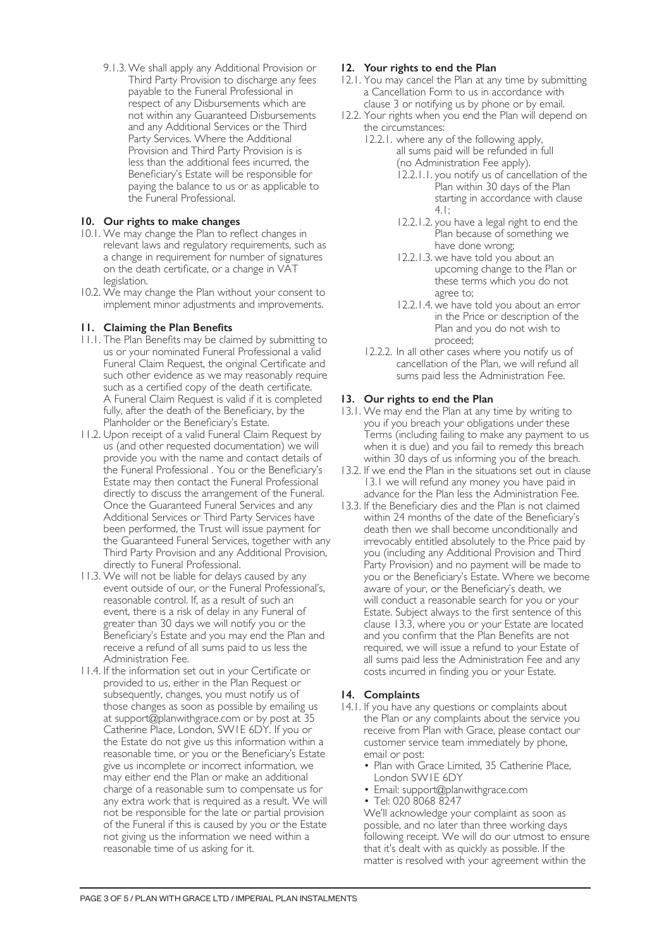9.1.3.We shall apply any Additional Provision or Third Party Provision to discharge any fees payable to the Funeral Professional in respect of any Disbursements which are not within any Guaranteed Disbursements and any Additional Services or the Third Party Services. Where the Additional Provision and Third Party Provision is is less than the additional fees incurred, the Beneficiary's Estate will be responsible for paying the balance to us or as applicable to the Funeral Professional.

# **10. Our rights to make changes**

- 10.1. We may change the Plan to reflect changes in relevant laws and regulatory requirements, such as a change in requirement for number of signatures on the death certificate, or a change in VAT legislation.
- 10.2. We may change the Plan without your consent to implement minor adjustments and improvements.

# **11. Claiming the Plan Benefits**

- 11.1. The Plan Benefits may be claimed by submitting to us or your nominated Funeral Professional a valid Funeral Claim Request, the original Certificate and such other evidence as we may reasonably require such as a certified copy of the death certificate. A Funeral Claim Request is valid if it is completed fully, after the death of the Beneficiary, by the Planholder or the Beneficiary's Estate.
- 11.2. Upon receipt of a valid Funeral Claim Request by us (and other requested documentation) we will provide you with the name and contact details of the Funeral Professional . You or the Beneficiary's Estate may then contact the Funeral Professional directly to discuss the arrangement of the Funeral. Once the Guaranteed Funeral Services and any Additional Services or Third Party Services have been performed, the Trust will issue payment for the Guaranteed Funeral Services, together with any Third Party Provision and any Additional Provision, directly to Funeral Professional.
- 11.3. We will not be liable for delays caused by any event outside of our, or the Funeral Professional's, reasonable control. If, as a result of such an event, there is a risk of delay in any Funeral of greater than 30 days we will notify you or the Beneficiary's Estate and you may end the Plan and receive a refund of all sums paid to us less the Administration Fee.
- 11.4. If the information set out in your Certificate or provided to us, either in the Plan Request or subsequently, changes, you must notify us of those changes as soon as possible by emailing us at support@planwithgrace.com or by post at 35 Catherine Place, London, SW1E 6DY. If you or the Estate do not give us this information within a reasonable time, or you or the Beneficiary's Estate give us incomplete or incorrect information, we may either end the Plan or make an additional charge of a reasonable sum to compensate us for any extra work that is required as a result. We will not be responsible for the late or partial provision of the Funeral if this is caused by you or the Estate not giving us the information we need within a reasonable time of us asking for it.

# **12. Your rights to end the Plan**

- 12.1. You may cancel the Plan at any time by submitting a Cancellation Form to us in accordance with clause 3 or notifying us by phone or by email.
- 12.2. Your rights when you end the Plan will depend on the circumstances:
	- 12.2.1. where any of the following apply, all sums paid will be refunded in full (no Administration Fee apply).
		- 12.2.1.1. you notify us of cancellation of the Plan within 30 days of the Plan starting in accordance with clause 4.1;
		- 12.2.1.2. you have a legal right to end the Plan because of something we have done wrong;
		- 12.2.1.3. we have told you about an upcoming change to the Plan or these terms which you do not agree to;
		- 12.2.1.4. we have told you about an error in the Price or description of the Plan and you do not wish to proceed;
	- 12.2.2. In all other cases where you notify us of cancellation of the Plan, we will refund all sums paid less the Administration Fee.

# **13. Our rights to end the Plan**

- 13.1. We may end the Plan at any time by writing to you if you breach your obligations under these Terms (including failing to make any payment to us when it is due) and you fail to remedy this breach within 30 days of us informing you of the breach.
- 13.2. If we end the Plan in the situations set out in clause 13.1 we will refund any money you have paid in advance for the Plan less the Administration Fee.
- 13.3. If the Beneficiary dies and the Plan is not claimed within 24 months of the date of the Beneficiary's death then we shall become unconditionally and irrevocably entitled absolutely to the Price paid by you (including any Additional Provision and Third Party Provision) and no payment will be made to you or the Beneficiary's Estate. Where we become aware of your, or the Beneficiary's death, we will conduct a reasonable search for you or your Estate. Subject always to the first sentence of this clause 13.3, where you or your Estate are located and you confirm that the Plan Benefits are not required, we will issue a refund to your Estate of all sums paid less the Administration Fee and any costs incurred in finding you or your Estate.

#### **14. Complaints**

- 14.1. If you have any questions or complaints about the Plan or any complaints about the service you receive from Plan with Grace, please contact our customer service team immediately by phone, email or post:
	- Plan with Grace Limited, 35 Catherine Place, London SW1E 6DY
	- Email: support@planwithgrace.com
	- Tel: 020 8068 8247

We'll acknowledge your complaint as soon as possible, and no later than three working days following receipt. We will do our utmost to ensure that it's dealt with as quickly as possible. If the matter is resolved with your agreement within the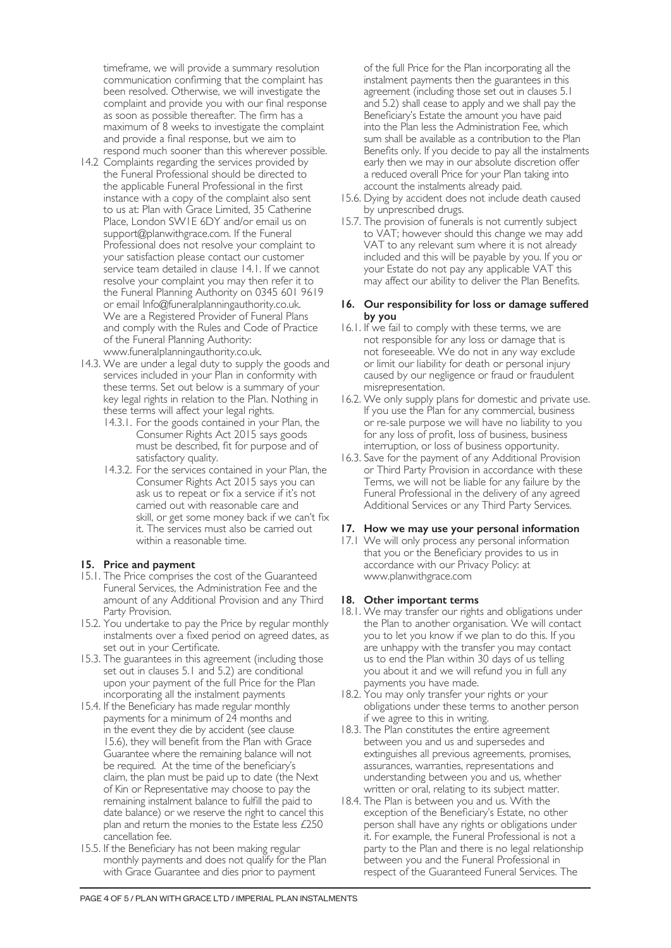timeframe, we will provide a summary resolution communication confirming that the complaint has been resolved. Otherwise, we will investigate the complaint and provide you with our final response as soon as possible thereafter. The firm has a maximum of 8 weeks to investigate the complaint and provide a final response, but we aim to respond much sooner than this wherever possible.

- 14.2 Complaints regarding the services provided by the Funeral Professional should be directed to the applicable Funeral Professional in the first instance with a copy of the complaint also sent to us at: Plan with Grace Limited, 35 Catherine Place, London SW1E 6DY and/or email us on support@planwithgrace.com. If the Funeral Professional does not resolve your complaint to your satisfaction please contact our customer service team detailed in clause 14.1. If we cannot resolve your complaint you may then refer it to the Funeral Planning Authority on 0345 601 9619 or email Info@funeralplanningauthority.co.uk. We are a Registered Provider of Funeral Plans and comply with the Rules and Code of Practice of the Funeral Planning Authority: www.funeralplanningauthority.co.uk.
- 14.3. We are under a legal duty to supply the goods and services included in your Plan in conformity with these terms. Set out below is a summary of your key legal rights in relation to the Plan. Nothing in these terms will affect your legal rights.
	- 14.3.1. For the goods contained in your Plan, the Consumer Rights Act 2015 says goods must be described, fit for purpose and of satisfactory quality.
	- 14.3.2. For the services contained in your Plan, the Consumer Rights Act 2015 says you can ask us to repeat or fix a service if it's not carried out with reasonable care and skill, or get some money back if we can't fix it. The services must also be carried out within a reasonable time.

#### **15. Price and payment**

- 15.1. The Price comprises the cost of the Guaranteed Funeral Services, the Administration Fee and the amount of any Additional Provision and any Third Party Provision.
- 15.2. You undertake to pay the Price by regular monthly instalments over a fixed period on agreed dates, as set out in your Certificate.
- 15.3. The guarantees in this agreement (including those set out in clauses 5.1 and 5.2) are conditional upon your payment of the full Price for the Plan incorporating all the instalment payments
- 15.4. If the Beneficiary has made regular monthly payments for a minimum of 24 months and in the event they die by accident (see clause 15.6), they will benefit from the Plan with Grace Guarantee where the remaining balance will not be required. At the time of the beneficiary's claim, the plan must be paid up to date (the Next of Kin or Representative may choose to pay the remaining instalment balance to fulfill the paid to date balance) or we reserve the right to cancel this plan and return the monies to the Estate less £250 cancellation fee.
- 15.5. If the Beneficiary has not been making regular monthly payments and does not qualify for the Plan with Grace Guarantee and dies prior to payment

of the full Price for the Plan incorporating all the instalment payments then the guarantees in this agreement (including those set out in clauses 5.1 and 5.2) shall cease to apply and we shall pay the Beneficiary's Estate the amount you have paid into the Plan less the Administration Fee, which sum shall be available as a contribution to the Plan Benefits only. If you decide to pay all the instalments early then we may in our absolute discretion offer a reduced overall Price for your Plan taking into account the instalments already paid.

- 15.6. Dying by accident does not include death caused by unprescribed drugs.
- 15.7. The provision of funerals is not currently subject to VAT; however should this change we may add VAT to any relevant sum where it is not already included and this will be payable by you. If you or your Estate do not pay any applicable VAT this may affect our ability to deliver the Plan Benefits.

### **16. Our responsibility for loss or damage suffered by you**

- 16.1. If we fail to comply with these terms, we are not responsible for any loss or damage that is not foreseeable. We do not in any way exclude or limit our liability for death or personal injury caused by our negligence or fraud or fraudulent misrepresentation.
- 16.2. We only supply plans for domestic and private use. If you use the Plan for any commercial, business or re-sale purpose we will have no liability to you for any loss of profit, loss of business, business interruption, or loss of business opportunity.
- 16.3. Save for the payment of any Additional Provision or Third Party Provision in accordance with these Terms, we will not be liable for any failure by the Funeral Professional in the delivery of any agreed Additional Services or any Third Party Services.

#### **17. How we may use your personal information**

17.1 We will only process any personal information that you or the Beneficiary provides to us in accordance with our Privacy Policy: at www.planwithgrace.com

#### **18. Other important terms**

- 18.1. We may transfer our rights and obligations under the Plan to another organisation. We will contact you to let you know if we plan to do this. If you are unhappy with the transfer you may contact us to end the Plan within 30 days of us telling you about it and we will refund you in full any payments you have made.
- 18.2. You may only transfer your rights or your obligations under these terms to another person if we agree to this in writing.
- 18.3. The Plan constitutes the entire agreement between you and us and supersedes and extinguishes all previous agreements, promises, assurances, warranties, representations and understanding between you and us, whether written or oral, relating to its subject matter.
- 18.4. The Plan is between you and us. With the exception of the Beneficiary's Estate, no other person shall have any rights or obligations under it. For example, the Funeral Professional is not a party to the Plan and there is no legal relationship between you and the Funeral Professional in respect of the Guaranteed Funeral Services. The